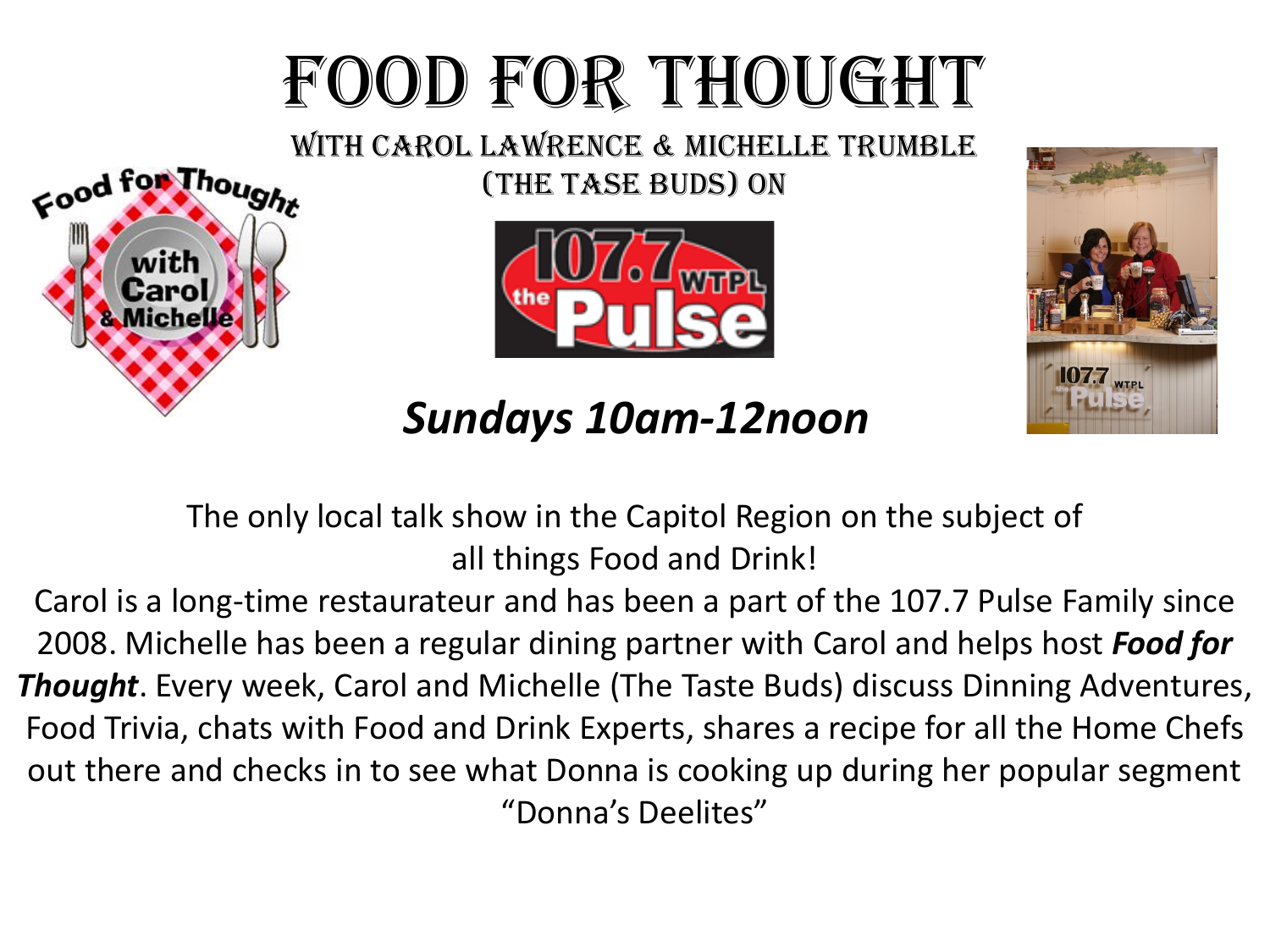# FOOD FOR THOUGHT

Food for Thought (The Tase Buds) on







The only local talk show in the Capitol Region on the subject of all things Food and Drink!

Carol is a long-time restaurateur and has been a part of the 107.7 Pulse Family since 2008. Michelle has been a regular dining partner with Carol and helps host *Food for Thought*. Every week, Carol and Michelle (The Taste Buds) discuss Dinning Adventures, Food Trivia, chats with Food and Drink Experts, shares a recipe for all the Home Chefs out there and checks in to see what Donna is cooking up during her popular segment "Donna's Deelites"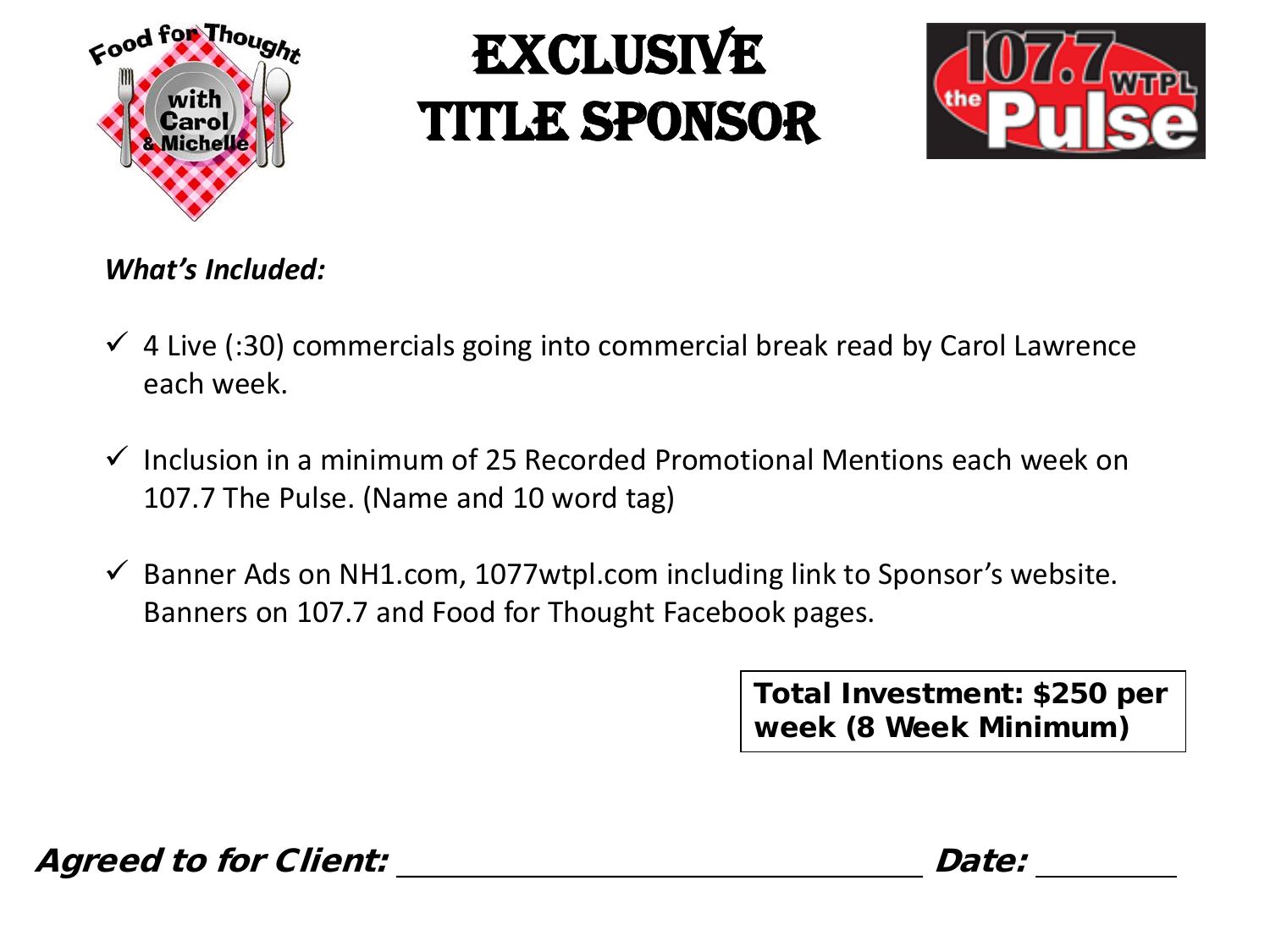

## **EXCLUSIVE** Title Sponsor



#### *What's Included:*

- $\checkmark$  4 Live (:30) commercials going into commercial break read by Carol Lawrence each week.
- $\checkmark$  Inclusion in a minimum of 25 Recorded Promotional Mentions each week on 107.7 The Pulse. (Name and 10 word tag)
- $\checkmark$  Banner Ads on NH1.com, 1077wtpl.com including link to Sponsor's website. Banners on 107.7 and Food for Thought Facebook pages.

Total Investment: \$250 per week (8 Week Minimum)

Agreed to for Client:  $\blacksquare$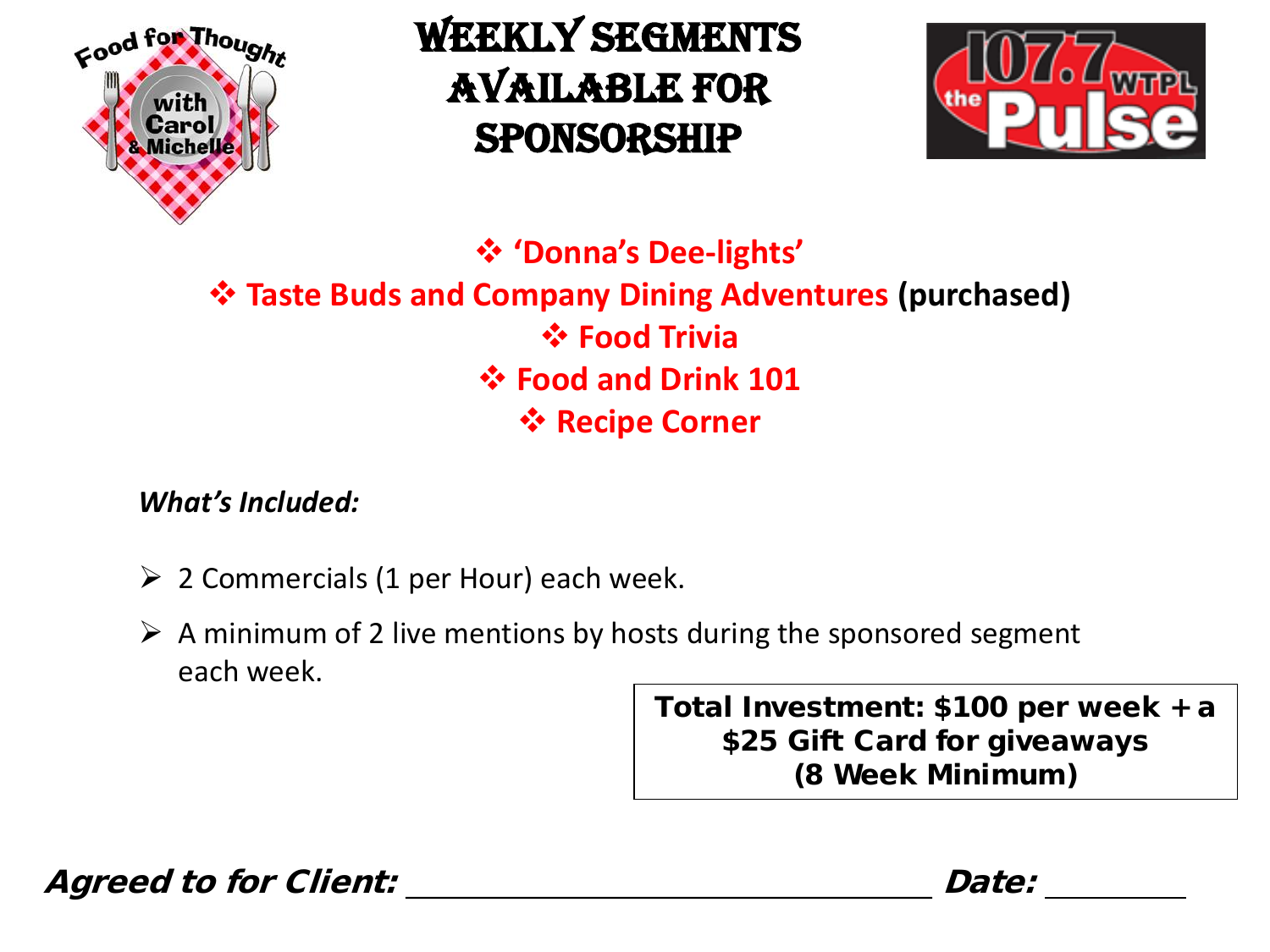

### WEEKLY SEGMENTS Available for sponsorship



 **'Donna's Dee-lights' Taste Buds and Company Dining Adventures (purchased) Food Trivia Food and Drink 101** *<b>☆ Recipe Corner* 

#### *What's Included:*

- $\geq 2$  Commercials (1 per Hour) each week.
- $\triangleright$  A minimum of 2 live mentions by hosts during the sponsored segment each week.

Total Investment: \$100 per week + a \$25 Gift Card for giveaways (8 Week Minimum)

Agreed to for Client:  $\blacksquare$